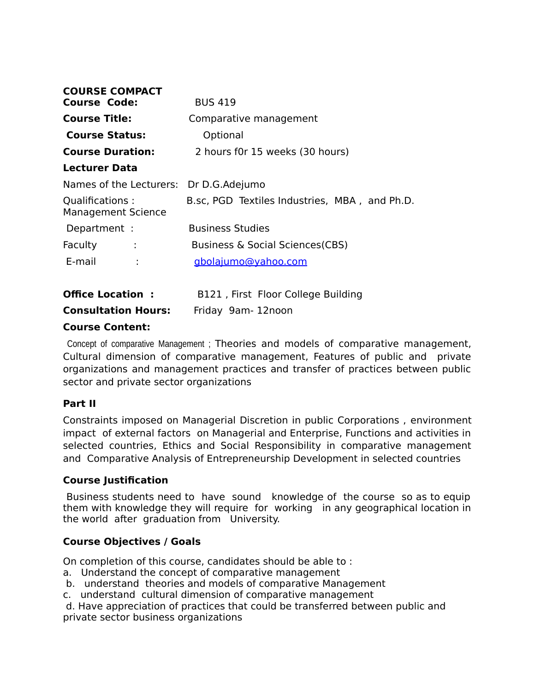| <b>COURSE COMPACT</b>                        |                                               |
|----------------------------------------------|-----------------------------------------------|
| <b>Course Code:</b>                          | <b>BUS 419</b>                                |
| <b>Course Title:</b>                         | Comparative management                        |
| <b>Course Status:</b>                        | Optional                                      |
| <b>Course Duration:</b>                      | 2 hours f0r 15 weeks (30 hours)               |
| <b>Lecturer Data</b>                         |                                               |
| Names of the Lecturers: Dr D.G.Adejumo       |                                               |
| Qualifications:<br><b>Management Science</b> | B.sc, PGD Textiles Industries, MBA, and Ph.D. |
| Department :                                 | <b>Business Studies</b>                       |
| Faculty<br>÷                                 | <b>Business &amp; Social Sciences (CBS)</b>   |
| E-mail                                       | gbolajumo@yahoo.com                           |
|                                              |                                               |
|                                              |                                               |

| <b>Office Location:</b>    | B121, First Floor College Building |
|----------------------------|------------------------------------|
| <b>Consultation Hours:</b> | Friday 9am-12noon                  |

#### **Course Content:**

 Concept of comparative Management ; Theories and models of comparative management, Cultural dimension of comparative management, Features of public and private organizations and management practices and transfer of practices between public sector and private sector organizations

#### **Part II**

Constraints imposed on Managerial Discretion in public Corporations , environment impact of external factors on Managerial and Enterprise, Functions and activities in selected countries, Ethics and Social Responsibility in comparative management and Comparative Analysis of Entrepreneurship Development in selected countries

#### **Course Justification**

 Business students need to have sound knowledge of the course so as to equip them with knowledge they will require for working in any geographical location in the world after graduation from University.

#### **Course Objectives / Goals**

On completion of this course, candidates should be able to :

- a. Understand the concept of comparative management
- b. understand theories and models of comparative Management
- c. understand cultural dimension of comparative management

 d. Have appreciation of practices that could be transferred between public and private sector business organizations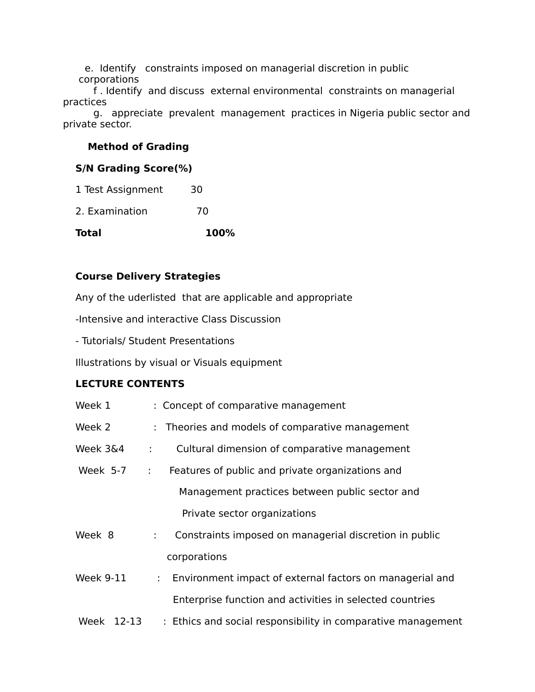e. Identify constraints imposed on managerial discretion in public corporations

 f . Identify and discuss external environmental constraints on managerial practices

 g. appreciate prevalent management practices in Nigeria public sector and private sector.

## **Method of Grading**

## **S/N Grading Score(%)**

| Total             | 100% |  |
|-------------------|------|--|
| 2. Examination    | 70   |  |
| 1 Test Assignment | 30   |  |

# **Course Delivery Strategies**

Any of the uderlisted that are applicable and appropriate

-Intensive and interactive Class Discussion

- Tutorials/ Student Presentations

Illustrations by visual or Visuals equipment

# **LECTURE CONTENTS**

| Week 1           | : Concept of comparative management                                                   |
|------------------|---------------------------------------------------------------------------------------|
| Week 2           | : Theories and models of comparative management                                       |
| Week 3&4         | Cultural dimension of comparative management<br>÷                                     |
| Week 5-7         | Features of public and private organizations and<br>÷                                 |
|                  | Management practices between public sector and                                        |
|                  | Private sector organizations                                                          |
| Week 8           | Constraints imposed on managerial discretion in public<br>$\mathbb{R}^{\mathbb{Z}}$   |
|                  | corporations                                                                          |
| <b>Week 9-11</b> | Environment impact of external factors on managerial and<br>$\mathbb{R}^{\mathbb{Z}}$ |
|                  | Enterprise function and activities in selected countries                              |
| Week 12-13       | : Ethics and social responsibility in comparative management                          |